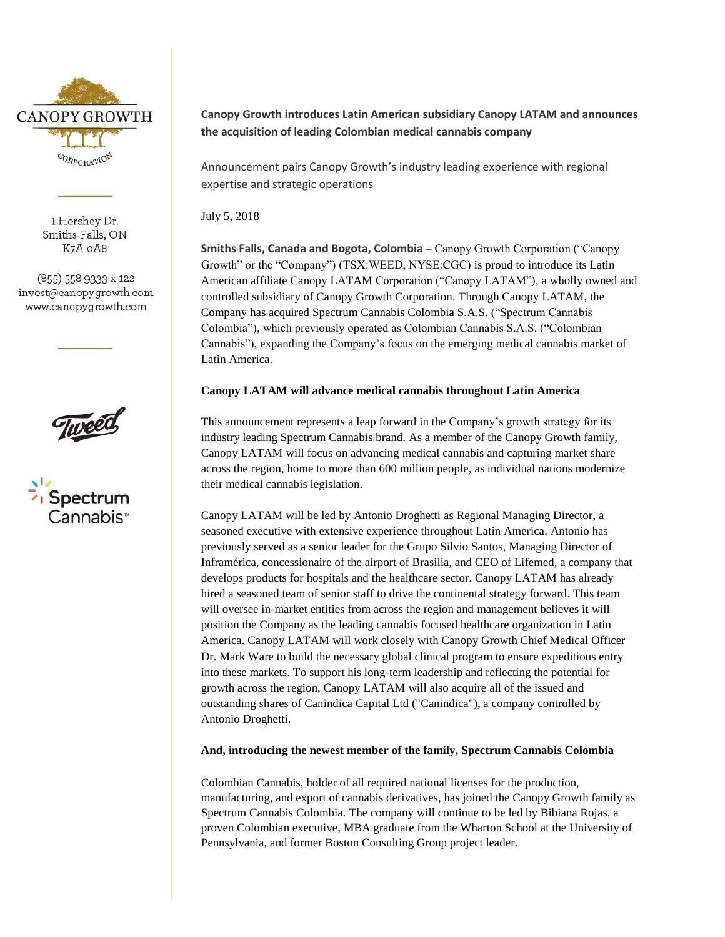

1 Hershey Dr. Smiths Falls, ON K7A OA8

(855) 558 9333 x 122 invest@canopygrowth.com www.canopygrowth.com





# **Canopy Growth introduces Latin American subsidiary Canopy LATAM and announces the acquisition of leading Colombian medical cannabis company**

Announcement pairs Canopy Growth's industry leading experience with regional expertise and strategic operations

July 5, 2018

**Smiths Falls, Canada and Bogota, Colombia** – Canopy Growth Corporation ("Canopy Growth" or the "Company") (TSX:WEED, NYSE:CGC) is proud to introduce its Latin American affiliate Canopy LATAM Corporation ("Canopy LATAM"), a wholly owned and controlled subsidiary of Canopy Growth Corporation. Through Canopy LATAM, the Company has acquired Spectrum Cannabis Colombia S.A.S. ("Spectrum Cannabis Colombia"), which previously operated as Colombian Cannabis S.A.S. ("Colombian Cannabis"), expanding the Company's focus on the emerging medical cannabis market of Latin America.

# **Canopy LATAM will advance medical cannabis throughout Latin America**

This announcement represents a leap forward in the Company's growth strategy for its industry leading Spectrum Cannabis brand. As a member of the Canopy Growth family, Canopy LATAM will focus on advancing medical cannabis and capturing market share across the region, home to more than 600 million people, as individual nations modernize their medical cannabis legislation.

Canopy LATAM will be led by Antonio Droghetti as Regional Managing Director, a seasoned executive with extensive experience throughout Latin America. Antonio has previously served as a senior leader for the Grupo Silvio Santos, Managing Director of Inframérica, concessionaire of the airport of Brasilia, and CEO of Lifemed, a company that develops products for hospitals and the healthcare sector. Canopy LATAM has already hired a seasoned team of senior staff to drive the continental strategy forward. This team will oversee in-market entities from across the region and management believes it will position the Company as the leading cannabis focused healthcare organization in Latin America. Canopy LATAM will work closely with Canopy Growth Chief Medical Officer Dr. Mark Ware to build the necessary global clinical program to ensure expeditious entry into these markets. To support his long-term leadership and reflecting the potential for growth across the region, Canopy LATAM will also acquire all of the issued and outstanding shares of Canindica Capital Ltd ("Canindica"), a company controlled by Antonio Droghetti.

# **And, introducing the newest member of the family, Spectrum Cannabis Colombia**

Colombian Cannabis, holder of all required national licenses for the production, manufacturing, and export of cannabis derivatives, has joined the Canopy Growth family as Spectrum Cannabis Colombia. The company will continue to be led by Bibiana Rojas, a proven Colombian executive, MBA graduate from the Wharton School at the University of Pennsylvania, and former Boston Consulting Group project leader.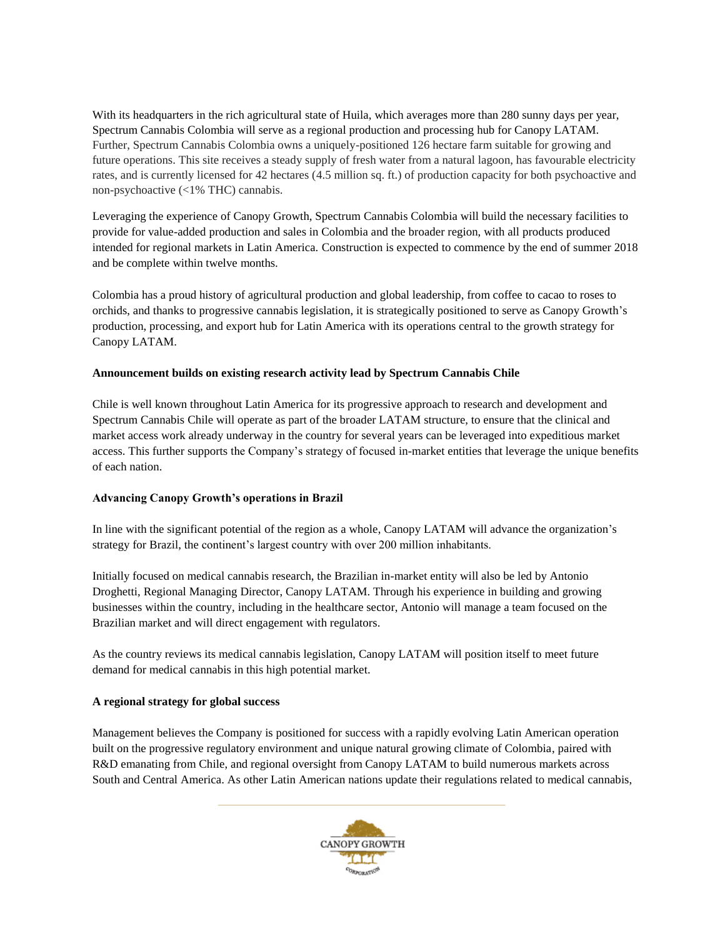With its headquarters in the rich agricultural state of Huila, which averages more than 280 sunny days per year, Spectrum Cannabis Colombia will serve as a regional production and processing hub for Canopy LATAM. Further, Spectrum Cannabis Colombia owns a uniquely-positioned 126 hectare farm suitable for growing and future operations. This site receives a steady supply of fresh water from a natural lagoon, has favourable electricity rates, and is currently licensed for 42 hectares (4.5 million sq. ft.) of production capacity for both psychoactive and non-psychoactive (<1% THC) cannabis.

Leveraging the experience of Canopy Growth, Spectrum Cannabis Colombia will build the necessary facilities to provide for value-added production and sales in Colombia and the broader region, with all products produced intended for regional markets in Latin America. Construction is expected to commence by the end of summer 2018 and be complete within twelve months.

Colombia has a proud history of agricultural production and global leadership, from coffee to cacao to roses to orchids, and thanks to progressive cannabis legislation, it is strategically positioned to serve as Canopy Growth's production, processing, and export hub for Latin America with its operations central to the growth strategy for Canopy LATAM.

### **Announcement builds on existing research activity lead by Spectrum Cannabis Chile**

Chile is well known throughout Latin America for its progressive approach to research and development and Spectrum Cannabis Chile will operate as part of the broader LATAM structure, to ensure that the clinical and market access work already underway in the country for several years can be leveraged into expeditious market access. This further supports the Company's strategy of focused in-market entities that leverage the unique benefits of each nation.

# **Advancing Canopy Growth's operations in Brazil**

In line with the significant potential of the region as a whole, Canopy LATAM will advance the organization's strategy for Brazil, the continent's largest country with over 200 million inhabitants.

Initially focused on medical cannabis research, the Brazilian in-market entity will also be led by Antonio Droghetti, Regional Managing Director, Canopy LATAM. Through his experience in building and growing businesses within the country, including in the healthcare sector, Antonio will manage a team focused on the Brazilian market and will direct engagement with regulators.

As the country reviews its medical cannabis legislation, Canopy LATAM will position itself to meet future demand for medical cannabis in this high potential market.

### **A regional strategy for global success**

Management believes the Company is positioned for success with a rapidly evolving Latin American operation built on the progressive regulatory environment and unique natural growing climate of Colombia, paired with R&D emanating from Chile, and regional oversight from Canopy LATAM to build numerous markets across South and Central America. As other Latin American nations update their regulations related to medical cannabis,

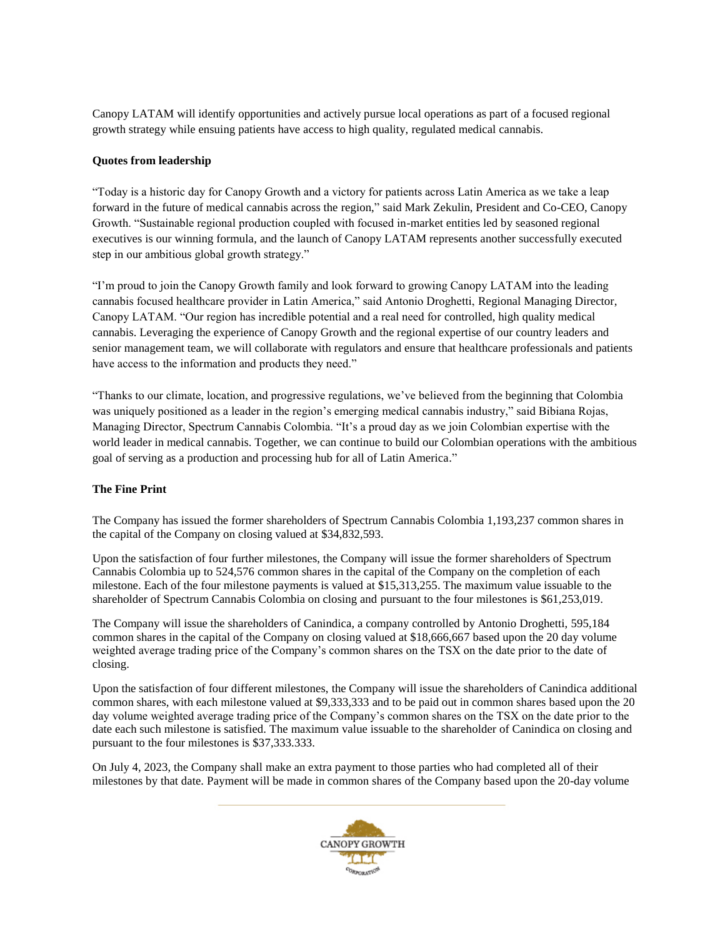Canopy LATAM will identify opportunities and actively pursue local operations as part of a focused regional growth strategy while ensuing patients have access to high quality, regulated medical cannabis.

### **Quotes from leadership**

"Today is a historic day for Canopy Growth and a victory for patients across Latin America as we take a leap forward in the future of medical cannabis across the region," said Mark Zekulin, President and Co-CEO, Canopy Growth. "Sustainable regional production coupled with focused in-market entities led by seasoned regional executives is our winning formula, and the launch of Canopy LATAM represents another successfully executed step in our ambitious global growth strategy."

"I'm proud to join the Canopy Growth family and look forward to growing Canopy LATAM into the leading cannabis focused healthcare provider in Latin America," said Antonio Droghetti, Regional Managing Director, Canopy LATAM. "Our region has incredible potential and a real need for controlled, high quality medical cannabis. Leveraging the experience of Canopy Growth and the regional expertise of our country leaders and senior management team, we will collaborate with regulators and ensure that healthcare professionals and patients have access to the information and products they need."

"Thanks to our climate, location, and progressive regulations, we've believed from the beginning that Colombia was uniquely positioned as a leader in the region's emerging medical cannabis industry," said Bibiana Rojas, Managing Director, Spectrum Cannabis Colombia. "It's a proud day as we join Colombian expertise with the world leader in medical cannabis. Together, we can continue to build our Colombian operations with the ambitious goal of serving as a production and processing hub for all of Latin America."

### **The Fine Print**

The Company has issued the former shareholders of Spectrum Cannabis Colombia 1,193,237 common shares in the capital of the Company on closing valued at \$34,832,593.

Upon the satisfaction of four further milestones, the Company will issue the former shareholders of Spectrum Cannabis Colombia up to 524,576 common shares in the capital of the Company on the completion of each milestone. Each of the four milestone payments is valued at \$15,313,255. The maximum value issuable to the shareholder of Spectrum Cannabis Colombia on closing and pursuant to the four milestones is \$61,253,019.

The Company will issue the shareholders of Canindica, a company controlled by Antonio Droghetti, 595,184 common shares in the capital of the Company on closing valued at \$18,666,667 based upon the 20 day volume weighted average trading price of the Company's common shares on the TSX on the date prior to the date of closing.

Upon the satisfaction of four different milestones, the Company will issue the shareholders of Canindica additional common shares, with each milestone valued at \$9,333,333 and to be paid out in common shares based upon the 20 day volume weighted average trading price of the Company's common shares on the TSX on the date prior to the date each such milestone is satisfied. The maximum value issuable to the shareholder of Canindica on closing and pursuant to the four milestones is \$37,333.333.

On July 4, 2023, the Company shall make an extra payment to those parties who had completed all of their milestones by that date. Payment will be made in common shares of the Company based upon the 20-day volume

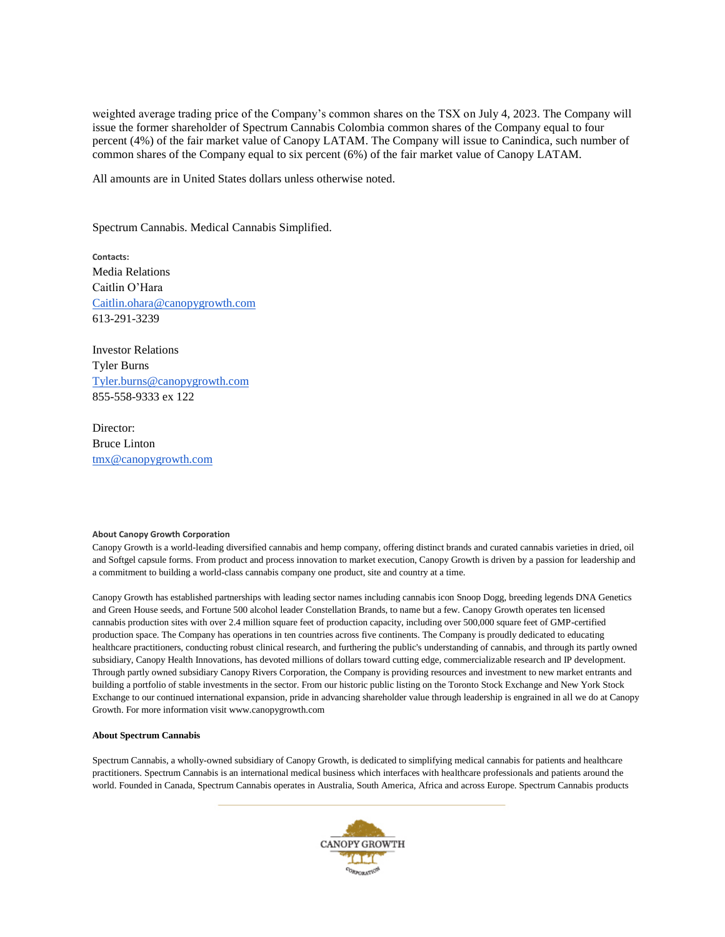weighted average trading price of the Company's common shares on the TSX on July 4, 2023. The Company will issue the former shareholder of Spectrum Cannabis Colombia common shares of the Company equal to four percent (4%) of the fair market value of Canopy LATAM. The Company will issue to Canindica, such number of common shares of the Company equal to six percent (6%) of the fair market value of Canopy LATAM.

All amounts are in United States dollars unless otherwise noted.

Spectrum Cannabis. Medical Cannabis Simplified.

**Contacts:** Media Relations Caitlin O'Hara [Caitlin.ohara@canopygrowth.com](mailto:Caitlin.ohara@canopygrowth.com) 613-291-3239

Investor Relations Tyler Burns [Tyler.burns@canopygrowth.com](mailto:Tyler.burns@canopygrowth.com) 855-558-9333 ex 122

Director: Bruce Linton [tmx@canopygrowth.com](mailto:tmx@canopygrowth.com)

#### **About Canopy Growth Corporation**

Canopy Growth is a world-leading diversified cannabis and hemp company, offering distinct brands and curated cannabis varieties in dried, oil and Softgel capsule forms. From product and process innovation to market execution, Canopy Growth is driven by a passion for leadership and a commitment to building a world-class cannabis company one product, site and country at a time.

Canopy Growth has established partnerships with leading sector names including cannabis icon Snoop Dogg, breeding legends DNA Genetics and Green House seeds, and Fortune 500 alcohol leader Constellation Brands, to name but a few. Canopy Growth operates ten licensed cannabis production sites with over 2.4 million square feet of production capacity, including over 500,000 square feet of GMP-certified production space. The Company has operations in ten countries across five continents. The Company is proudly dedicated to educating healthcare practitioners, conducting robust clinical research, and furthering the public's understanding of cannabis, and through its partly owned subsidiary, Canopy Health Innovations, has devoted millions of dollars toward cutting edge, commercializable research and IP development. Through partly owned subsidiary Canopy Rivers Corporation, the Company is providing resources and investment to new market entrants and building a portfolio of stable investments in the sector. From our historic public listing on the Toronto Stock Exchange and New York Stock Exchange to our continued international expansion, pride in advancing shareholder value through leadership is engrained in all we do at Canopy Growth. For more information visit www.canopygrowth.com

#### **About Spectrum Cannabis**

Spectrum Cannabis, a wholly-owned subsidiary of Canopy Growth, is dedicated to simplifying medical cannabis for patients and healthcare practitioners. Spectrum Cannabis is an international medical business which interfaces with healthcare professionals and patients around the world. Founded in Canada, Spectrum Cannabis operates in Australia, South America, Africa and across Europe. Spectrum Cannabis products